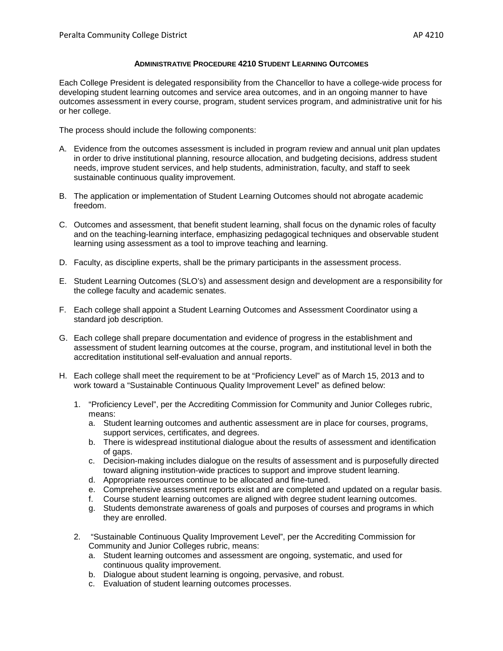Each College President is delegated responsibility from the Chancellor to have a college-wide process for developing student learning outcomes and service area outcomes, and in an ongoing manner to have outcomes assessment in every course, program, student services program, and administrative unit for his or her college.

The process should include the following components:

- A. Evidence from the outcomes assessment is included in program review and annual unit plan updates in order to drive institutional planning, resource allocation, and budgeting decisions, address student needs, improve student services, and help students, administration, faculty, and staff to seek sustainable continuous quality improvement.
- B. The application or implementation of Student Learning Outcomes should not abrogate academic freedom.
- C. Outcomes and assessment, that benefit student learning, shall focus on the dynamic roles of faculty and on the teaching-learning interface, emphasizing pedagogical techniques and observable student learning using assessment as a tool to improve teaching and learning.
- D. Faculty, as discipline experts, shall be the primary participants in the assessment process.
- E. Student Learning Outcomes (SLO's) and assessment design and development are a responsibility for the college faculty and academic senates.
- F. Each college shall appoint a Student Learning Outcomes and Assessment Coordinator using a standard job description.
- G. Each college shall prepare documentation and evidence of progress in the establishment and assessment of student learning outcomes at the course, program, and institutional level in both the accreditation institutional self-evaluation and annual reports.
- H. Each college shall meet the requirement to be at "Proficiency Level" as of March 15, 2013 and to work toward a "Sustainable Continuous Quality Improvement Level" as defined below:
	- 1. "Proficiency Level", per the Accrediting Commission for Community and Junior Colleges rubric, means:
		- a. Student learning outcomes and authentic assessment are in place for courses, programs, support services, certificates, and degrees.
		- b. There is widespread institutional dialogue about the results of assessment and identification of gaps.
		- c. Decision-making includes dialogue on the results of assessment and is purposefully directed toward aligning institution-wide practices to support and improve student learning.
		- d. Appropriate resources continue to be allocated and fine-tuned.
		- e. Comprehensive assessment reports exist and are completed and updated on a regular basis.
		- f. Course student learning outcomes are aligned with degree student learning outcomes.
		- g. Students demonstrate awareness of goals and purposes of courses and programs in which they are enrolled.
	- 2. "Sustainable Continuous Quality Improvement Level", per the Accrediting Commission for Community and Junior Colleges rubric, means:
		- a. Student learning outcomes and assessment are ongoing, systematic, and used for continuous quality improvement.
		- b. Dialogue about student learning is ongoing, pervasive, and robust.
		- c. Evaluation of student learning outcomes processes.